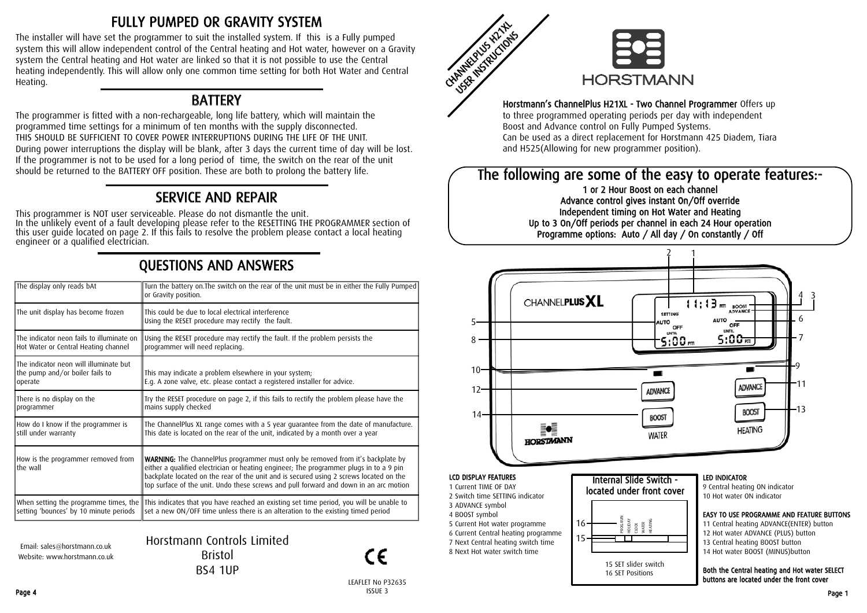## FULLY PUMPED OR GRAVITY SYSTEM

The installer will have set the programmer to suit the installed system. If this is a Fully pumped system this will allow independent control of the Central heating and Hot water, however on a Gravity system the Central heating and Hot water are linked so that it is not possible to use the Central heating independently. This will allow only one common time setting for both Hot Water and Central Heating.

#### **BATTERY**

The programmer is fitted with a non-rechargeable, long life battery, which will maintain the programmed time settings for a minimum of ten months with the supply disconnected. THIS SHOULD BE SUFFICIENT TO COVER POWER INTERRUPTIONS DURING THE LIFE OF THE UNIT. During power interruptions the display will be blank, after 3 days the current time of day will be lost. If the programmer is not to be used for a long period of time, the switch on the rear of the unit should be returned to the BATTERY OFF position. These are both to prolong the battery life.

## SERVICE AND REPAIR

This programmer is NOT user serviceable. Please do not dismantle the unit.<br>In the unlikely event of a fault developing please refer to the RESETTING THE PROGRAMMER section of<br>this user guide located on page 2. If this fail

# QUESTIONS AND ANSWERS

| The display only reads bAt                                                           | Turn the battery on. The switch on the rear of the unit must be in either the Fully Pumped<br>or Gravity position.                                                                                                                                                                                                                                                  |  |  |  |
|--------------------------------------------------------------------------------------|---------------------------------------------------------------------------------------------------------------------------------------------------------------------------------------------------------------------------------------------------------------------------------------------------------------------------------------------------------------------|--|--|--|
| The unit display has become frozen                                                   | This could be due to local electrical interference<br>Using the RESET procedure may rectify the fault.                                                                                                                                                                                                                                                              |  |  |  |
| The indicator neon fails to illuminate on<br>Hot Water or Central Heating channel    | Using the RESET procedure may rectify the fault. If the problem persists the<br>programmer will need replacing.                                                                                                                                                                                                                                                     |  |  |  |
| The indicator neon will illuminate but<br>the pump and/or boiler fails to<br>operate | This may indicate a problem elsewhere in your system;<br>E.g. A zone valve, etc. please contact a registered installer for advice.                                                                                                                                                                                                                                  |  |  |  |
| There is no display on the<br>programmer                                             | Try the RESET procedure on page 2, if this fails to rectify the problem please have the<br>mains supply checked                                                                                                                                                                                                                                                     |  |  |  |
| How do I know if the programmer is<br>still under warranty                           | The ChannelPlus XL range comes with a 5 year guarantee from the date of manufacture.<br>This date is located on the rear of the unit, indicated by a month over a year                                                                                                                                                                                              |  |  |  |
| How is the programmer removed from<br>the wall                                       | <b>WARNING:</b> The ChannelPlus programmer must only be removed from it's backplate by<br>either a qualified electrician or heating engineer; The programmer plugs in to a 9 pin<br>backplate located on the rear of the unit and is secured using 2 screws located on the<br>top surface of the unit. Undo these screws and pull forward and down in an arc motion |  |  |  |
| setting 'bounces' by 10 minute periods                                               | When setting the programme times, the This indicates that you have reached an existing set time period, you will be unable to<br>set a new ON/OFF time unless there is an alteration to the existing timed period                                                                                                                                                   |  |  |  |
|                                                                                      |                                                                                                                                                                                                                                                                                                                                                                     |  |  |  |

Email: sales@horstmann.co.uk Website: www.horstmann.co.uk Horstmann Controls Limited Bristol BS4 1UP



LEAFLET No P32635



#### Horstmann's ChannelPlus H21XL - Two Channel Programmer Offers up to three programmed operating periods per day with independent Boost and Advance control on Fully Pumped Systems. Can be used as a direct replacement for Horstmann 425 Diadem, Tiara and H525(Allowing for new programmer position).

### The following are some of the easy to operate features:-

1 or 2 Hour Boost on each channel Advance control gives instant On/Off override Independent timing on Hot Water and Heating Up to 3 On/Off periods per channel in each 24 Hour operation Programme options: Auto / All day / On constantly / Off



buttons are located under the front cover